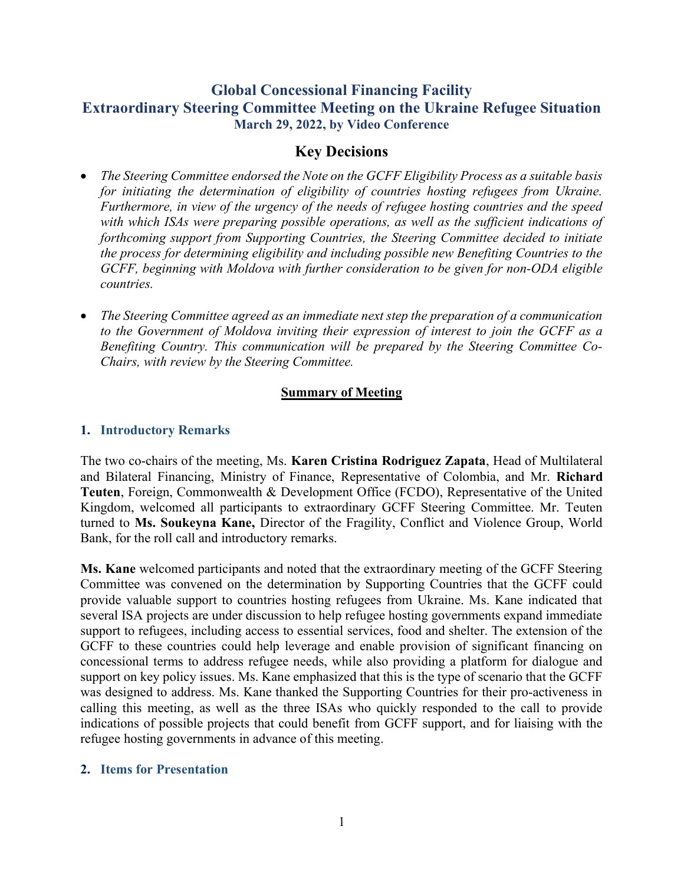# Global Concessional Financing Facility Extraordinary Steering Committee Meeting on the Ukraine Refugee Situation March 29, 2022, by Video Conference

# Key Decisions

- The Steering Committee endorsed the Note on the GCFF Eligibility Process as a suitable basis for initiating the determination of eligibility of countries hosting refugees from Ukraine. Furthermore, in view of the urgency of the needs of refugee hosting countries and the speed with which ISAs were preparing possible operations, as well as the sufficient indications of forthcoming support from Supporting Countries, the Steering Committee decided to initiate the process for determining eligibility and including possible new Benefiting Countries to the GCFF, beginning with Moldova with further consideration to be given for non-ODA eligible countries.
- The Steering Committee agreed as an immediate next step the preparation of a communication to the Government of Moldova inviting their expression of interest to join the GCFF as a Benefiting Country. This communication will be prepared by the Steering Committee Co-Chairs, with review by the Steering Committee.

### Summary of Meeting

### 1. Introductory Remarks

The two co-chairs of the meeting, Ms. Karen Cristina Rodriguez Zapata, Head of Multilateral and Bilateral Financing, Ministry of Finance, Representative of Colombia, and Mr. Richard Teuten, Foreign, Commonwealth & Development Office (FCDO), Representative of the United Kingdom, welcomed all participants to extraordinary GCFF Steering Committee. Mr. Teuten turned to Ms. Soukeyna Kane, Director of the Fragility, Conflict and Violence Group, World Bank, for the roll call and introductory remarks.

Ms. Kane welcomed participants and noted that the extraordinary meeting of the GCFF Steering Committee was convened on the determination by Supporting Countries that the GCFF could provide valuable support to countries hosting refugees from Ukraine. Ms. Kane indicated that several ISA projects are under discussion to help refugee hosting governments expand immediate support to refugees, including access to essential services, food and shelter. The extension of the GCFF to these countries could help leverage and enable provision of significant financing on concessional terms to address refugee needs, while also providing a platform for dialogue and support on key policy issues. Ms. Kane emphasized that this is the type of scenario that the GCFF was designed to address. Ms. Kane thanked the Supporting Countries for their pro-activeness in calling this meeting, as well as the three ISAs who quickly responded to the call to provide indications of possible projects that could benefit from GCFF support, and for liaising with the refugee hosting governments in advance of this meeting.

### 2. Items for Presentation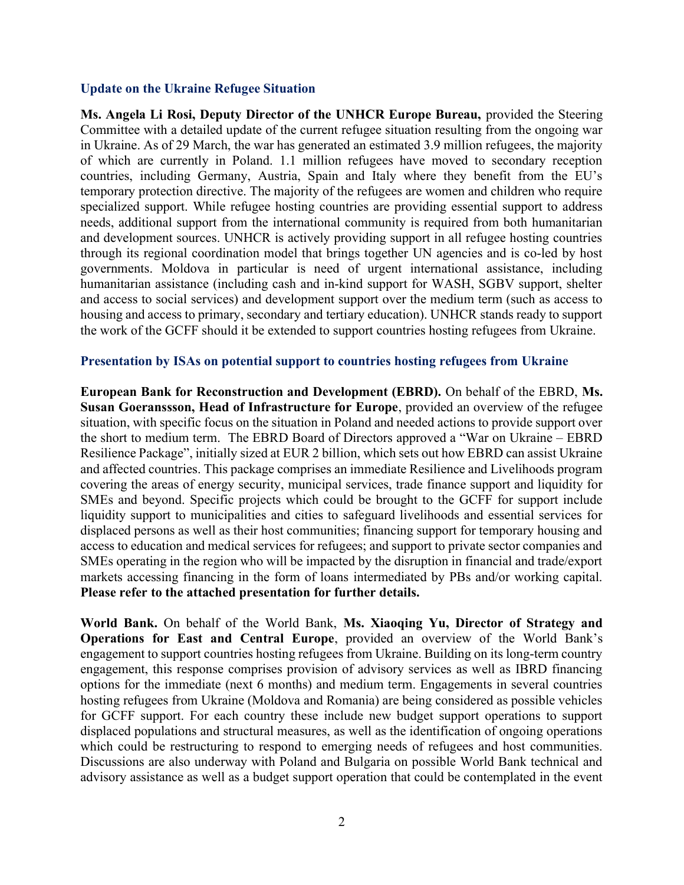#### Update on the Ukraine Refugee Situation

Ms. Angela Li Rosi, Deputy Director of the UNHCR Europe Bureau, provided the Steering Committee with a detailed update of the current refugee situation resulting from the ongoing war in Ukraine. As of 29 March, the war has generated an estimated 3.9 million refugees, the majority of which are currently in Poland. 1.1 million refugees have moved to secondary reception countries, including Germany, Austria, Spain and Italy where they benefit from the EU's temporary protection directive. The majority of the refugees are women and children who require specialized support. While refugee hosting countries are providing essential support to address needs, additional support from the international community is required from both humanitarian and development sources. UNHCR is actively providing support in all refugee hosting countries through its regional coordination model that brings together UN agencies and is co-led by host governments. Moldova in particular is need of urgent international assistance, including humanitarian assistance (including cash and in-kind support for WASH, SGBV support, shelter and access to social services) and development support over the medium term (such as access to housing and access to primary, secondary and tertiary education). UNHCR stands ready to support the work of the GCFF should it be extended to support countries hosting refugees from Ukraine.

#### Presentation by ISAs on potential support to countries hosting refugees from Ukraine

European Bank for Reconstruction and Development (EBRD). On behalf of the EBRD, Ms. Susan Goeranssson, Head of Infrastructure for Europe, provided an overview of the refugee situation, with specific focus on the situation in Poland and needed actions to provide support over the short to medium term. The EBRD Board of Directors approved a "War on Ukraine – EBRD Resilience Package", initially sized at EUR 2 billion, which sets out how EBRD can assist Ukraine and affected countries. This package comprises an immediate Resilience and Livelihoods program covering the areas of energy security, municipal services, trade finance support and liquidity for SMEs and beyond. Specific projects which could be brought to the GCFF for support include liquidity support to municipalities and cities to safeguard livelihoods and essential services for displaced persons as well as their host communities; financing support for temporary housing and access to education and medical services for refugees; and support to private sector companies and SMEs operating in the region who will be impacted by the disruption in financial and trade/export markets accessing financing in the form of loans intermediated by PBs and/or working capital. Please refer to the attached presentation for further details.

World Bank. On behalf of the World Bank, Ms. Xiaoqing Yu, Director of Strategy and Operations for East and Central Europe, provided an overview of the World Bank's engagement to support countries hosting refugees from Ukraine. Building on its long-term country engagement, this response comprises provision of advisory services as well as IBRD financing options for the immediate (next 6 months) and medium term. Engagements in several countries hosting refugees from Ukraine (Moldova and Romania) are being considered as possible vehicles for GCFF support. For each country these include new budget support operations to support displaced populations and structural measures, as well as the identification of ongoing operations which could be restructuring to respond to emerging needs of refugees and host communities. Discussions are also underway with Poland and Bulgaria on possible World Bank technical and advisory assistance as well as a budget support operation that could be contemplated in the event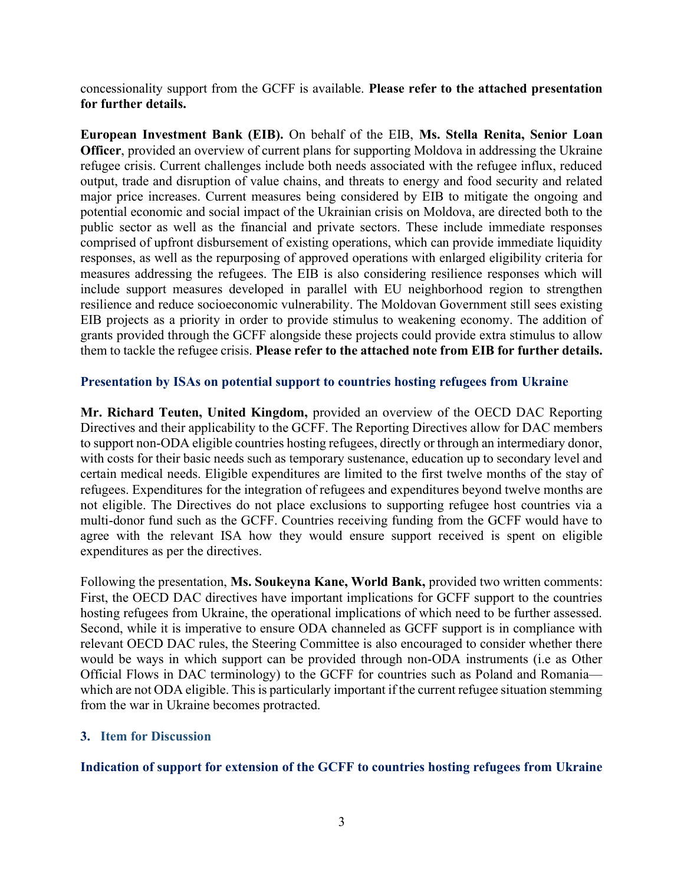concessionality support from the GCFF is available. Please refer to the attached presentation for further details.

European Investment Bank (EIB). On behalf of the EIB, Ms. Stella Renita, Senior Loan Officer, provided an overview of current plans for supporting Moldova in addressing the Ukraine refugee crisis. Current challenges include both needs associated with the refugee influx, reduced output, trade and disruption of value chains, and threats to energy and food security and related major price increases. Current measures being considered by EIB to mitigate the ongoing and potential economic and social impact of the Ukrainian crisis on Moldova, are directed both to the public sector as well as the financial and private sectors. These include immediate responses comprised of upfront disbursement of existing operations, which can provide immediate liquidity responses, as well as the repurposing of approved operations with enlarged eligibility criteria for measures addressing the refugees. The EIB is also considering resilience responses which will include support measures developed in parallel with EU neighborhood region to strengthen resilience and reduce socioeconomic vulnerability. The Moldovan Government still sees existing EIB projects as a priority in order to provide stimulus to weakening economy. The addition of grants provided through the GCFF alongside these projects could provide extra stimulus to allow them to tackle the refugee crisis. Please refer to the attached note from EIB for further details.

### Presentation by ISAs on potential support to countries hosting refugees from Ukraine

Mr. Richard Teuten, United Kingdom, provided an overview of the OECD DAC Reporting Directives and their applicability to the GCFF. The Reporting Directives allow for DAC members to support non-ODA eligible countries hosting refugees, directly or through an intermediary donor, with costs for their basic needs such as temporary sustenance, education up to secondary level and certain medical needs. Eligible expenditures are limited to the first twelve months of the stay of refugees. Expenditures for the integration of refugees and expenditures beyond twelve months are not eligible. The Directives do not place exclusions to supporting refugee host countries via a multi-donor fund such as the GCFF. Countries receiving funding from the GCFF would have to agree with the relevant ISA how they would ensure support received is spent on eligible expenditures as per the directives.

Following the presentation, Ms. Soukeyna Kane, World Bank, provided two written comments: First, the OECD DAC directives have important implications for GCFF support to the countries hosting refugees from Ukraine, the operational implications of which need to be further assessed. Second, while it is imperative to ensure ODA channeled as GCFF support is in compliance with relevant OECD DAC rules, the Steering Committee is also encouraged to consider whether there would be ways in which support can be provided through non-ODA instruments (i.e as Other Official Flows in DAC terminology) to the GCFF for countries such as Poland and Romania which are not ODA eligible. This is particularly important if the current refugee situation stemming from the war in Ukraine becomes protracted.

### 3. Item for Discussion

### Indication of support for extension of the GCFF to countries hosting refugees from Ukraine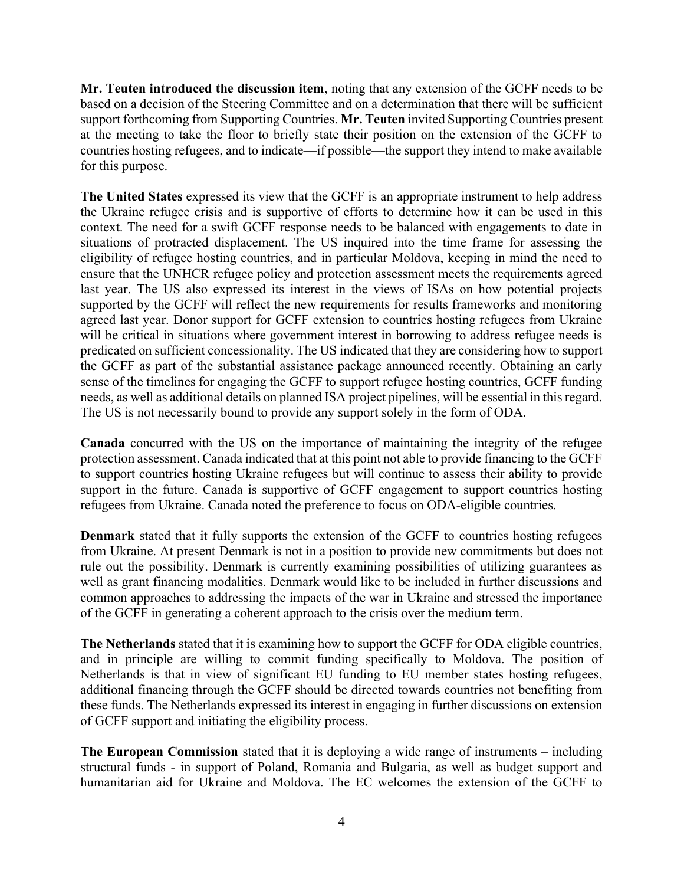Mr. Teuten introduced the discussion item, noting that any extension of the GCFF needs to be based on a decision of the Steering Committee and on a determination that there will be sufficient support forthcoming from Supporting Countries. Mr. Teuten invited Supporting Countries present at the meeting to take the floor to briefly state their position on the extension of the GCFF to countries hosting refugees, and to indicate—if possible—the support they intend to make available for this purpose.

The United States expressed its view that the GCFF is an appropriate instrument to help address the Ukraine refugee crisis and is supportive of efforts to determine how it can be used in this context. The need for a swift GCFF response needs to be balanced with engagements to date in situations of protracted displacement. The US inquired into the time frame for assessing the eligibility of refugee hosting countries, and in particular Moldova, keeping in mind the need to ensure that the UNHCR refugee policy and protection assessment meets the requirements agreed last year. The US also expressed its interest in the views of ISAs on how potential projects supported by the GCFF will reflect the new requirements for results frameworks and monitoring agreed last year. Donor support for GCFF extension to countries hosting refugees from Ukraine will be critical in situations where government interest in borrowing to address refugee needs is predicated on sufficient concessionality. The US indicated that they are considering how to support the GCFF as part of the substantial assistance package announced recently. Obtaining an early sense of the timelines for engaging the GCFF to support refugee hosting countries, GCFF funding needs, as well as additional details on planned ISA project pipelines, will be essential in this regard. The US is not necessarily bound to provide any support solely in the form of ODA.

Canada concurred with the US on the importance of maintaining the integrity of the refugee protection assessment. Canada indicated that at this point not able to provide financing to the GCFF to support countries hosting Ukraine refugees but will continue to assess their ability to provide support in the future. Canada is supportive of GCFF engagement to support countries hosting refugees from Ukraine. Canada noted the preference to focus on ODA-eligible countries.

Denmark stated that it fully supports the extension of the GCFF to countries hosting refugees from Ukraine. At present Denmark is not in a position to provide new commitments but does not rule out the possibility. Denmark is currently examining possibilities of utilizing guarantees as well as grant financing modalities. Denmark would like to be included in further discussions and common approaches to addressing the impacts of the war in Ukraine and stressed the importance of the GCFF in generating a coherent approach to the crisis over the medium term.

The Netherlands stated that it is examining how to support the GCFF for ODA eligible countries, and in principle are willing to commit funding specifically to Moldova. The position of Netherlands is that in view of significant EU funding to EU member states hosting refugees, additional financing through the GCFF should be directed towards countries not benefiting from these funds. The Netherlands expressed its interest in engaging in further discussions on extension of GCFF support and initiating the eligibility process.

The European Commission stated that it is deploying a wide range of instruments – including structural funds - in support of Poland, Romania and Bulgaria, as well as budget support and humanitarian aid for Ukraine and Moldova. The EC welcomes the extension of the GCFF to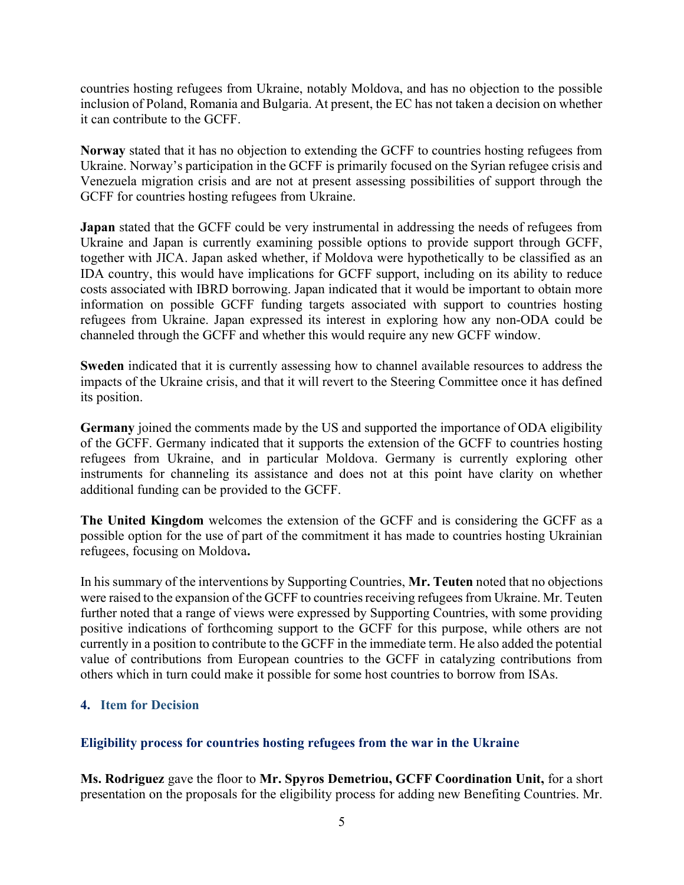countries hosting refugees from Ukraine, notably Moldova, and has no objection to the possible inclusion of Poland, Romania and Bulgaria. At present, the EC has not taken a decision on whether it can contribute to the GCFF.

Norway stated that it has no objection to extending the GCFF to countries hosting refugees from Ukraine. Norway's participation in the GCFF is primarily focused on the Syrian refugee crisis and Venezuela migration crisis and are not at present assessing possibilities of support through the GCFF for countries hosting refugees from Ukraine.

Japan stated that the GCFF could be very instrumental in addressing the needs of refugees from Ukraine and Japan is currently examining possible options to provide support through GCFF, together with JICA. Japan asked whether, if Moldova were hypothetically to be classified as an IDA country, this would have implications for GCFF support, including on its ability to reduce costs associated with IBRD borrowing. Japan indicated that it would be important to obtain more information on possible GCFF funding targets associated with support to countries hosting refugees from Ukraine. Japan expressed its interest in exploring how any non-ODA could be channeled through the GCFF and whether this would require any new GCFF window.

Sweden indicated that it is currently assessing how to channel available resources to address the impacts of the Ukraine crisis, and that it will revert to the Steering Committee once it has defined its position.

Germany joined the comments made by the US and supported the importance of ODA eligibility of the GCFF. Germany indicated that it supports the extension of the GCFF to countries hosting refugees from Ukraine, and in particular Moldova. Germany is currently exploring other instruments for channeling its assistance and does not at this point have clarity on whether additional funding can be provided to the GCFF.

The United Kingdom welcomes the extension of the GCFF and is considering the GCFF as a possible option for the use of part of the commitment it has made to countries hosting Ukrainian refugees, focusing on Moldova.

In his summary of the interventions by Supporting Countries, Mr. Teuten noted that no objections were raised to the expansion of the GCFF to countries receiving refugees from Ukraine. Mr. Teuten further noted that a range of views were expressed by Supporting Countries, with some providing positive indications of forthcoming support to the GCFF for this purpose, while others are not currently in a position to contribute to the GCFF in the immediate term. He also added the potential value of contributions from European countries to the GCFF in catalyzing contributions from others which in turn could make it possible for some host countries to borrow from ISAs.

# 4. Item for Decision

# Eligibility process for countries hosting refugees from the war in the Ukraine

Ms. Rodriguez gave the floor to Mr. Spyros Demetriou, GCFF Coordination Unit, for a short presentation on the proposals for the eligibility process for adding new Benefiting Countries. Mr.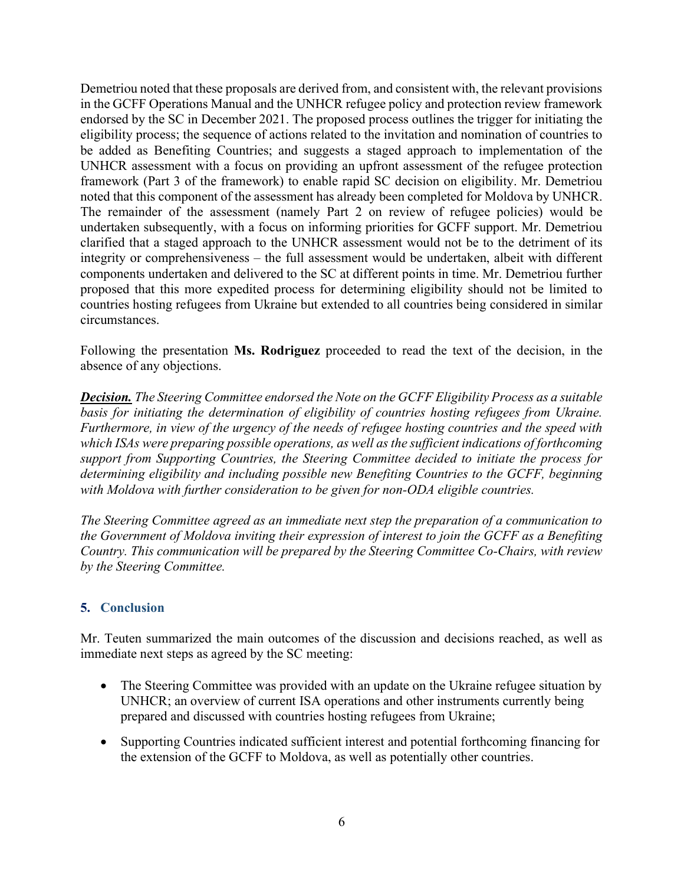Demetriou noted that these proposals are derived from, and consistent with, the relevant provisions in the GCFF Operations Manual and the UNHCR refugee policy and protection review framework endorsed by the SC in December 2021. The proposed process outlines the trigger for initiating the eligibility process; the sequence of actions related to the invitation and nomination of countries to be added as Benefiting Countries; and suggests a staged approach to implementation of the UNHCR assessment with a focus on providing an upfront assessment of the refugee protection framework (Part 3 of the framework) to enable rapid SC decision on eligibility. Mr. Demetriou noted that this component of the assessment has already been completed for Moldova by UNHCR. The remainder of the assessment (namely Part 2 on review of refugee policies) would be undertaken subsequently, with a focus on informing priorities for GCFF support. Mr. Demetriou clarified that a staged approach to the UNHCR assessment would not be to the detriment of its integrity or comprehensiveness – the full assessment would be undertaken, albeit with different components undertaken and delivered to the SC at different points in time. Mr. Demetriou further proposed that this more expedited process for determining eligibility should not be limited to countries hosting refugees from Ukraine but extended to all countries being considered in similar circumstances.

Following the presentation **Ms. Rodriguez** proceeded to read the text of the decision, in the absence of any objections.

**Decision.** The Steering Committee endorsed the Note on the GCFF Eligibility Process as a suitable basis for initiating the determination of eligibility of countries hosting refugees from Ukraine. Furthermore, in view of the urgency of the needs of refugee hosting countries and the speed with which ISAs were preparing possible operations, as well as the sufficient indications of forthcoming support from Supporting Countries, the Steering Committee decided to initiate the process for determining eligibility and including possible new Benefiting Countries to the GCFF, beginning with Moldova with further consideration to be given for non-ODA eligible countries.

The Steering Committee agreed as an immediate next step the preparation of a communication to the Government of Moldova inviting their expression of interest to join the GCFF as a Benefiting Country. This communication will be prepared by the Steering Committee Co-Chairs, with review by the Steering Committee.

# 5. Conclusion

Mr. Teuten summarized the main outcomes of the discussion and decisions reached, as well as immediate next steps as agreed by the SC meeting:

- The Steering Committee was provided with an update on the Ukraine refugee situation by UNHCR; an overview of current ISA operations and other instruments currently being prepared and discussed with countries hosting refugees from Ukraine;
- Supporting Countries indicated sufficient interest and potential forthcoming financing for the extension of the GCFF to Moldova, as well as potentially other countries.